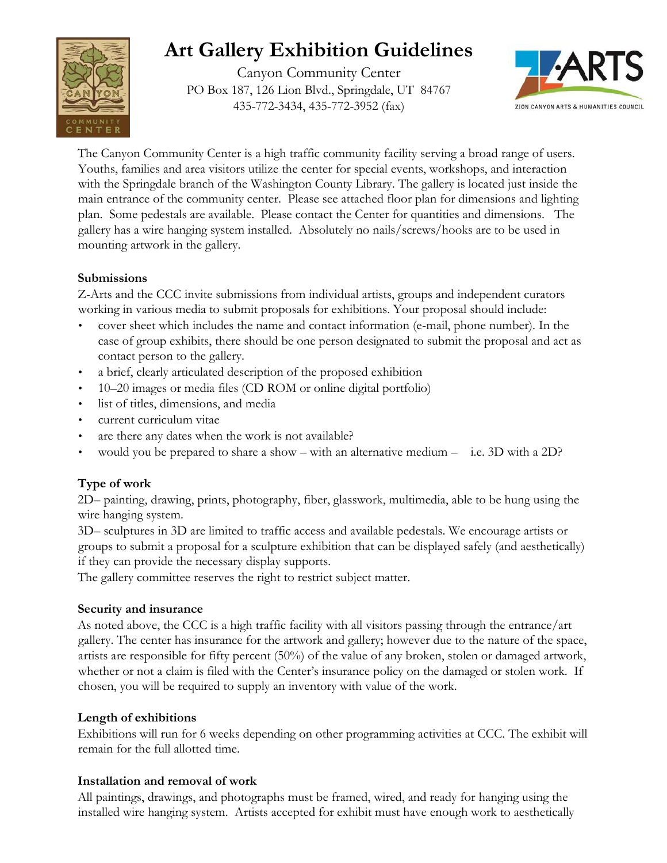# **Art Gallery Exhibition Guidelines**

Canyon Community Center PO Box 187, 126 Lion Blvd., Springdale, UT 84767 435-772-3434, 435-772-3952 (fax)



The Canyon Community Center is a high traffic community facility serving a broad range of users. Youths, families and area visitors utilize the center for special events, workshops, and interaction with the Springdale branch of the Washington County Library. The gallery is located just inside the main entrance of the community center. Please see attached floor plan for dimensions and lighting plan. Some pedestals are available. Please contact the Center for quantities and dimensions. The gallery has a wire hanging system installed. Absolutely no nails/screws/hooks are to be used in mounting artwork in the gallery.

## **Submissions**

ENTE

Z-Arts and the CCC invite submissions from individual artists, groups and independent curators working in various media to submit proposals for exhibitions. Your proposal should include:

- cover sheet which includes the name and contact information (e-mail, phone number). In the case of group exhibits, there should be one person designated to submit the proposal and act as contact person to the gallery.
- a brief, clearly articulated description of the proposed exhibition
- 10–20 images or media files (CD ROM or online digital portfolio)
- list of titles, dimensions, and media
- current curriculum vitae
- are there any dates when the work is not available?
- would you be prepared to share a show with an alternative medium i.e. 3D with a 2D?

# **Type of work**

2D– painting, drawing, prints, photography, fiber, glasswork, multimedia, able to be hung using the wire hanging system.

3D– sculptures in 3D are limited to traffic access and available pedestals. We encourage artists or groups to submit a proposal for a sculpture exhibition that can be displayed safely (and aesthetically) if they can provide the necessary display supports.

The gallery committee reserves the right to restrict subject matter.

## **Security and insurance**

As noted above, the CCC is a high traffic facility with all visitors passing through the entrance/art gallery. The center has insurance for the artwork and gallery; however due to the nature of the space, artists are responsible for fifty percent (50%) of the value of any broken, stolen or damaged artwork, whether or not a claim is filed with the Center's insurance policy on the damaged or stolen work. If chosen, you will be required to supply an inventory with value of the work.

## **Length of exhibitions**

Exhibitions will run for 6 weeks depending on other programming activities at CCC. The exhibit will remain for the full allotted time.

# **Installation and removal of work**

All paintings, drawings, and photographs must be framed, wired, and ready for hanging using the installed wire hanging system. Artists accepted for exhibit must have enough work to aesthetically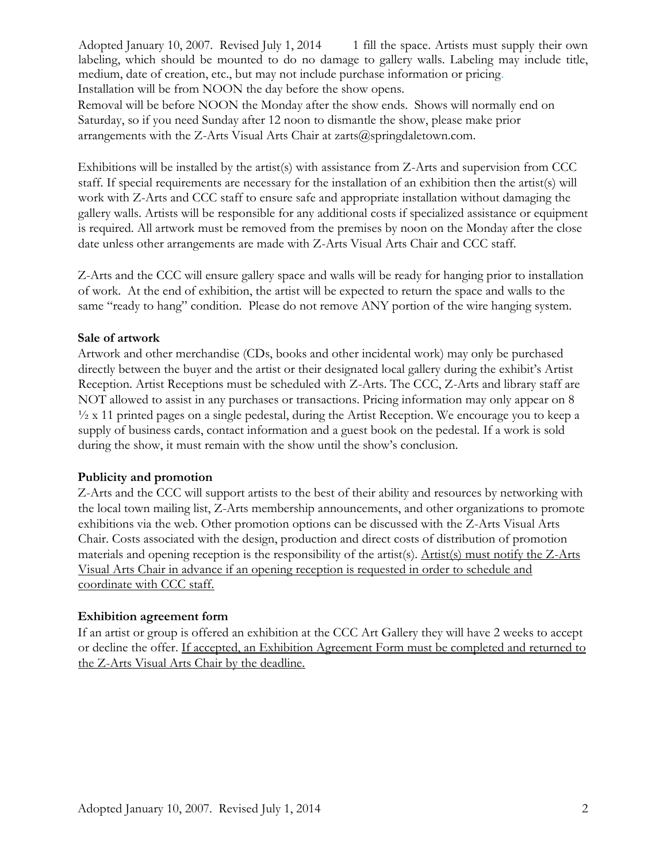Adopted January 10, 2007. Revised July 1, 2014 1 fill the space. Artists must supply their own labeling, which should be mounted to do no damage to gallery walls. Labeling may include title, medium, date of creation, etc., but may not include purchase information or pricing. Installation will be from NOON the day before the show opens.

Removal will be before NOON the Monday after the show ends. Shows will normally end on Saturday, so if you need Sunday after 12 noon to dismantle the show, please make prior arrangements with the Z-Arts Visual Arts Chair at zarts@springdaletown.com.

Exhibitions will be installed by the artist(s) with assistance from Z-Arts and supervision from CCC staff. If special requirements are necessary for the installation of an exhibition then the artist(s) will work with Z-Arts and CCC staff to ensure safe and appropriate installation without damaging the gallery walls. Artists will be responsible for any additional costs if specialized assistance or equipment is required. All artwork must be removed from the premises by noon on the Monday after the close date unless other arrangements are made with Z-Arts Visual Arts Chair and CCC staff.

Z-Arts and the CCC will ensure gallery space and walls will be ready for hanging prior to installation of work. At the end of exhibition, the artist will be expected to return the space and walls to the same "ready to hang" condition. Please do not remove ANY portion of the wire hanging system.

#### **Sale of artwork**

Artwork and other merchandise (CDs, books and other incidental work) may only be purchased directly between the buyer and the artist or their designated local gallery during the exhibit's Artist Reception. Artist Receptions must be scheduled with Z-Arts. The CCC, Z-Arts and library staff are NOT allowed to assist in any purchases or transactions. Pricing information may only appear on 8  $\frac{1}{2}$  x 11 printed pages on a single pedestal, during the Artist Reception. We encourage you to keep a supply of business cards, contact information and a guest book on the pedestal. If a work is sold during the show, it must remain with the show until the show's conclusion.

## **Publicity and promotion**

Z-Arts and the CCC will support artists to the best of their ability and resources by networking with the local town mailing list, Z-Arts membership announcements, and other organizations to promote exhibitions via the web. Other promotion options can be discussed with the Z-Arts Visual Arts Chair. Costs associated with the design, production and direct costs of distribution of promotion materials and opening reception is the responsibility of the artist(s). Artist(s) must notify the Z-Arts Visual Arts Chair in advance if an opening reception is requested in order to schedule and coordinate with CCC staff.

#### **Exhibition agreement form**

If an artist or group is offered an exhibition at the CCC Art Gallery they will have 2 weeks to accept or decline the offer. If accepted, an Exhibition Agreement Form must be completed and returned to the Z-Arts Visual Arts Chair by the deadline.